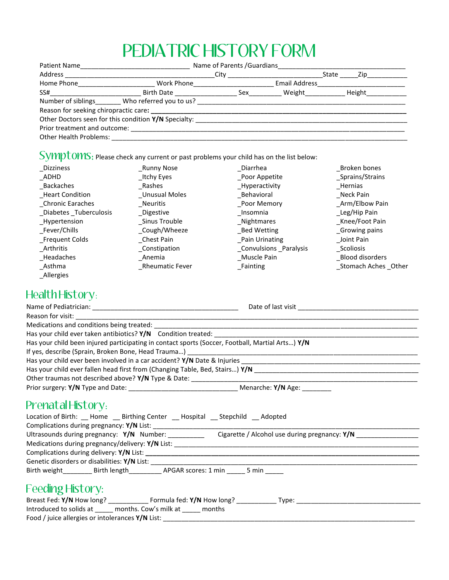# PEDIATRIC HISTORY FORM

| Patient Name                         | the control of the control of the control of the control of the control of the control of the control of the control of the control of the control of the control of the control of the control of the control of the control |  |                   |                                |  |
|--------------------------------------|-------------------------------------------------------------------------------------------------------------------------------------------------------------------------------------------------------------------------------|--|-------------------|--------------------------------|--|
| Address ______________________       | <b>Solution City City</b>                                                                                                                                                                                                     |  |                   | State _______ Zip_____________ |  |
| Home Phone <u>__________________</u> | Work Phone______________________                                                                                                                                                                                              |  |                   |                                |  |
|                                      | Birth Date                                                                                                                                                                                                                    |  | Sex Weight Height |                                |  |
|                                      | Number of siblings ________ Who referred you to us? _____________________________                                                                                                                                             |  |                   |                                |  |
|                                      |                                                                                                                                                                                                                               |  |                   |                                |  |
|                                      | Other Doctors seen for this condition Y/N Specialty: ___________________________                                                                                                                                              |  |                   |                                |  |
|                                      |                                                                                                                                                                                                                               |  |                   |                                |  |
| Other Health Problems:               |                                                                                                                                                                                                                               |  |                   |                                |  |

# Symptoms: Please check any current or past problems your child has on the list below:

| <b>Dizziness</b>        | Runny Nose      | Diarrhea               | Broken bones         |
|-------------------------|-----------------|------------------------|----------------------|
| _ADHD                   | _Itchy Eyes     | _Poor Appetite         | _Sprains/Strains     |
| _Backaches              | Rashes          | _Hyperactivity         | _Hernias             |
| _Heart Condition        | Unusual Moles   | _Behavioral            | Neck Pain            |
| Chronic Earaches        | Neuritis        | Poor Memory            | Arm/Elbow Pain       |
| _Diabetes _Tuberculosis | Digestive       | Insomnia               | _Leg/Hip Pain        |
| _Hypertension           | Sinus Trouble   | _Nightmares            | Knee/Foot Pain       |
| _Fever/Chills           | _Cough/Wheeze   | Bed Wetting            | _Growing pains       |
| _Frequent Colds         | Chest Pain      | Pain Urinating         | Joint Pain           |
| Arthritis               | Constipation    | Convulsions _Paralysis | Scoliosis            |
| _Headaches              | Anemia          | Muscle Pain            | Blood disorders      |
| Asthma                  | Rheumatic Fever | Fainting               | Stomach Aches _Other |
| <b>Allergies</b>        |                 |                        |                      |

## Health History:

| Has your child been injured participating in contact sports (Soccer, Football, Martial Arts) Y/N                |  |  |  |  |
|-----------------------------------------------------------------------------------------------------------------|--|--|--|--|
|                                                                                                                 |  |  |  |  |
|                                                                                                                 |  |  |  |  |
|                                                                                                                 |  |  |  |  |
|                                                                                                                 |  |  |  |  |
|                                                                                                                 |  |  |  |  |
| Prenatal History:<br>Location of Birth: __ Home __ Birthing Center __ Hospital __ Stepchild __ Adopted          |  |  |  |  |
| Ultrasounds during pregnancy: Y/N Number: _________ Cigarette / Alcohol use during pregnancy: Y/N _____________ |  |  |  |  |
|                                                                                                                 |  |  |  |  |
|                                                                                                                 |  |  |  |  |
|                                                                                                                 |  |  |  |  |
| Birth weight___________ Birth length____________ APGAR scores: 1 min ______ 5 min ______                        |  |  |  |  |
| Feeding History:                                                                                                |  |  |  |  |
| Introduced to solids at months. Cow's milk at months                                                            |  |  |  |  |

Food / juice allergies or intolerances **Y/N** List: \_\_\_\_\_\_\_\_\_\_\_\_\_\_\_\_\_\_\_\_\_\_\_\_\_\_\_\_\_\_\_\_\_\_\_\_\_\_\_\_\_\_\_\_\_\_\_\_\_\_\_\_\_\_\_\_\_\_\_\_\_\_\_\_\_\_\_\_\_